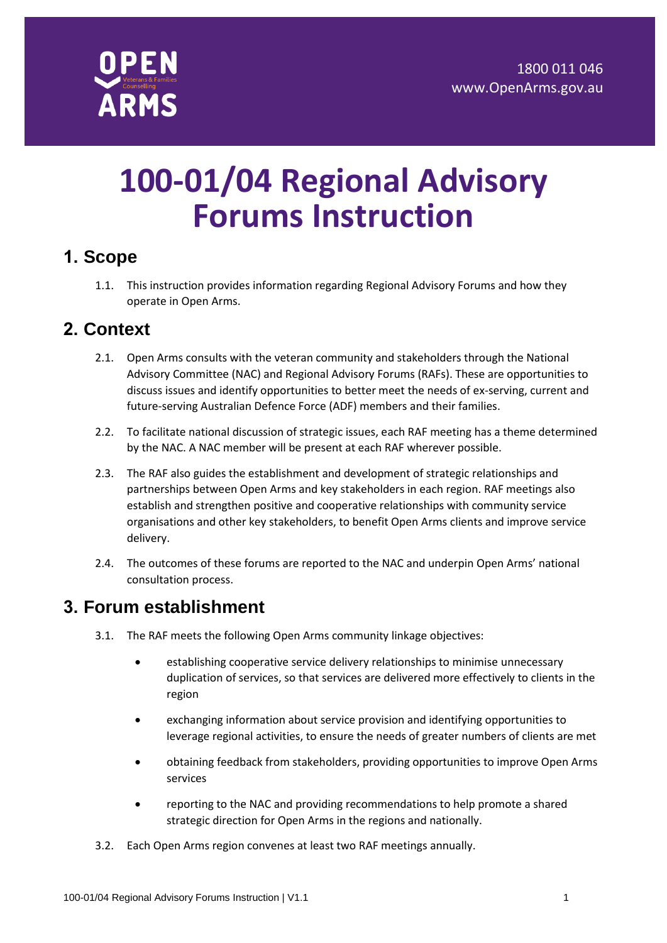

# **100-01/04 Regional Advisory Forums Instruction**

#### **1. Scope**

1.1. This instruction provides information regarding Regional Advisory Forums and how they operate in Open Arms.

#### **2. Context**

- 2.1. Open Arms consults with the veteran community and stakeholders through the National Advisory Committee (NAC) and Regional Advisory Forums (RAFs). These are opportunities to discuss issues and identify opportunities to better meet the needs of ex-serving, current and future-serving Australian Defence Force (ADF) members and their families.
- 2.2. To facilitate national discussion of strategic issues, each RAF meeting has a theme determined by the NAC. A NAC member will be present at each RAF wherever possible.
- 2.3. The RAF also guides the establishment and development of strategic relationships and partnerships between Open Arms and key stakeholders in each region. RAF meetings also establish and strengthen positive and cooperative relationships with community service organisations and other key stakeholders, to benefit Open Arms clients and improve service delivery.
- 2.4. The outcomes of these forums are reported to the NAC and underpin Open Arms' national consultation process.

#### **3. Forum establishment**

- 3.1. The RAF meets the following Open Arms community linkage objectives:
	- establishing cooperative service delivery relationships to minimise unnecessary duplication of services, so that services are delivered more effectively to clients in the region
	- exchanging information about service provision and identifying opportunities to leverage regional activities, to ensure the needs of greater numbers of clients are met
	- obtaining feedback from stakeholders, providing opportunities to improve Open Arms services
	- reporting to the NAC and providing recommendations to help promote a shared strategic direction for Open Arms in the regions and nationally.
- 3.2. Each Open Arms region convenes at least two RAF meetings annually.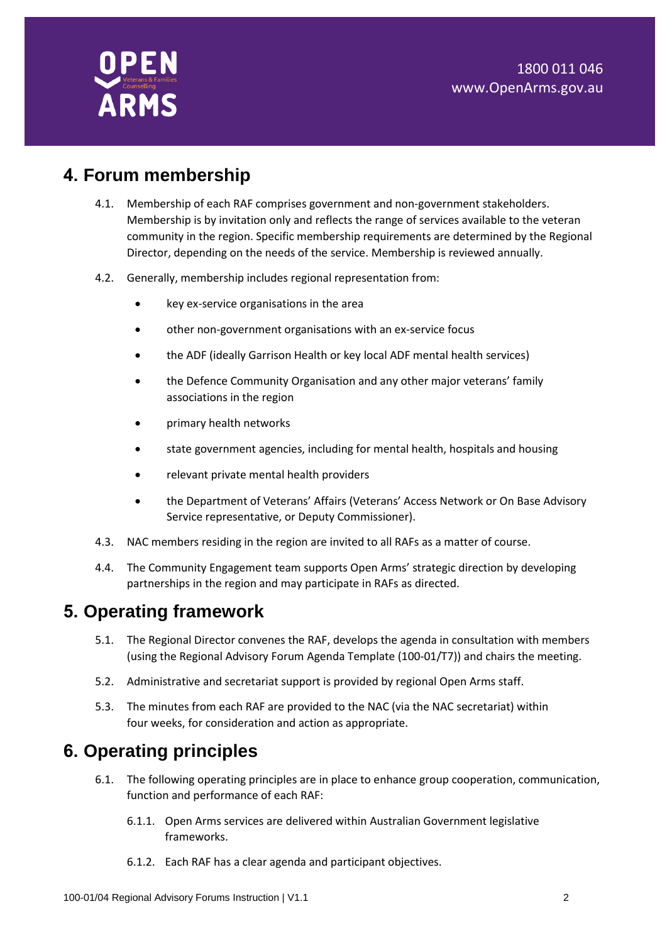### **4. Forum membership**

- 4.1. Membership of each RAF comprises government and non-government stakeholders. Membership is by invitation only and reflects the range of services available to the veteran community in the region. Specific membership requirements are determined by the Regional Director, depending on the needs of the service. Membership is reviewed annually.
- 4.2. Generally, membership includes regional representation from:
	- key ex-service organisations in the area
	- other non-government organisations with an ex-service focus
	- the ADF (ideally Garrison Health or key local ADF mental health services)
	- the Defence Community Organisation and any other major veterans' family associations in the region
	- primary health networks
	- state government agencies, including for mental health, hospitals and housing
	- relevant private mental health providers
	- the Department of Veterans' Affairs (Veterans' Access Network or On Base Advisory Service representative, or Deputy Commissioner).
- 4.3. NAC members residing in the region are invited to all RAFs as a matter of course.
- 4.4. The Community Engagement team supports Open Arms' strategic direction by developing partnerships in the region and may participate in RAFs as directed.

#### **5. Operating framework**

- 5.1. The Regional Director convenes the RAF, develops the agenda in consultation with members (using the Regional Advisory Forum Agenda Template (100-01/T7)) and chairs the meeting.
- 5.2. Administrative and secretariat support is provided by regional Open Arms staff.
- 5.3. The minutes from each RAF are provided to the NAC (via the NAC secretariat) within four weeks, for consideration and action as appropriate.

#### **6. Operating principles**

- 6.1. The following operating principles are in place to enhance group cooperation, communication, function and performance of each RAF:
	- 6.1.1. Open Arms services are delivered within Australian Government legislative frameworks.
	- 6.1.2. Each RAF has a clear agenda and participant objectives.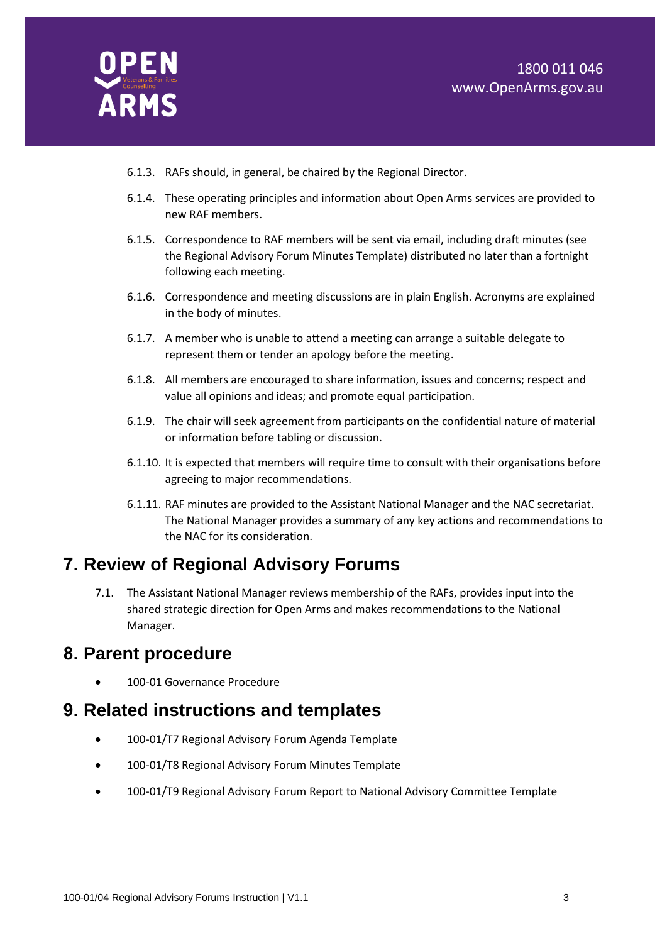

- 6.1.3. RAFs should, in general, be chaired by the Regional Director.
- 6.1.4. These operating principles and information about Open Arms services are provided to new RAF members.
- 6.1.5. Correspondence to RAF members will be sent via email, including draft minutes (see the Regional Advisory Forum Minutes Template) distributed no later than a fortnight following each meeting.
- 6.1.6. Correspondence and meeting discussions are in plain English. Acronyms are explained in the body of minutes.
- 6.1.7. A member who is unable to attend a meeting can arrange a suitable delegate to represent them or tender an apology before the meeting.
- 6.1.8. All members are encouraged to share information, issues and concerns; respect and value all opinions and ideas; and promote equal participation.
- 6.1.9. The chair will seek agreement from participants on the confidential nature of material or information before tabling or discussion.
- 6.1.10. It is expected that members will require time to consult with their organisations before agreeing to major recommendations.
- 6.1.11. RAF minutes are provided to the Assistant National Manager and the NAC secretariat. The National Manager provides a summary of any key actions and recommendations to the NAC for its consideration.

#### **7. Review of Regional Advisory Forums**

7.1. The Assistant National Manager reviews membership of the RAFs, provides input into the shared strategic direction for Open Arms and makes recommendations to the National Manager.

#### **8. Parent procedure**

100-01 Governance Procedure

#### **9. Related instructions and templates**

- 100-01/T7 Regional Advisory Forum Agenda Template
- 100-01/T8 Regional Advisory Forum Minutes Template
- 100-01/T9 Regional Advisory Forum Report to National Advisory Committee Template